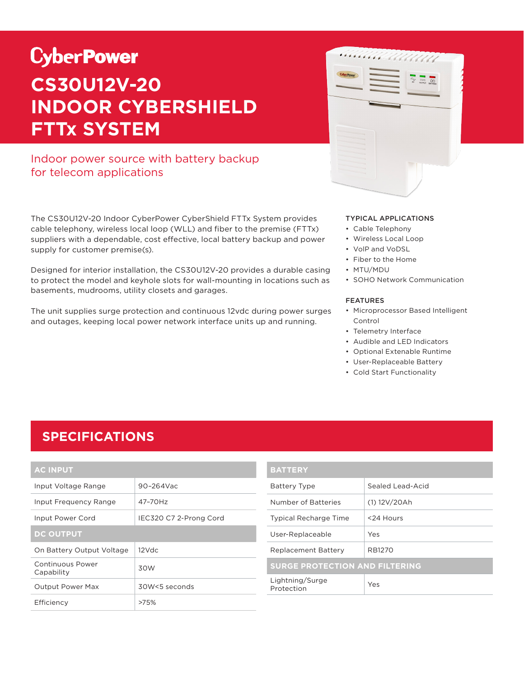# **CyberPower CS30U12V-20 INDOOR CYBERSHIELD FTTx SYSTEM**

### Indoor power source with battery backup for telecom applications

The CS30U12V-20 Indoor CyberPower CyberShield FTTx System provides cable telephony, wireless local loop (WLL) and fiber to the premise (FTTx) suppliers with a dependable, cost effective, local battery backup and power supply for customer premise(s).

Designed for interior installation, the CS30U12V-20 provides a durable casing to protect the model and keyhole slots for wall-mounting in locations such as basements, mudrooms, utility closets and garages.

The unit supplies surge protection and continuous 12vdc during power surges and outages, keeping local power network interface units up and running.



#### TYPICAL APPLICATIONS

- Cable Telephony
- Wireless Local Loop
- VolP and VoDSL
- Fiber to the Home
- MTU/MDU
- SOHO Network Communication

#### FEATURES

- Microprocessor Based Intelligent Control
- Telemetry Interface
- Audible and LED Indicators
- Optional Extenable Runtime
- User-Replaceable Battery
- Cold Start Functionality

### **SPECIFICATIONS**

| <b>AC INPUT</b>                |                        |  |
|--------------------------------|------------------------|--|
| Input Voltage Range            | $90 - 264$ Vac         |  |
| Input Frequency Range          | 47-70Hz                |  |
| Input Power Cord               | IEC320 C7 2-Prong Cord |  |
| <b>DC OUTPUT</b>               |                        |  |
| On Battery Output Voltage      | $12$ Vdc               |  |
| Continuous Power<br>Capability | 30W                    |  |
| <b>Output Power Max</b>        | 30W<5 seconds          |  |
| Efficiency                     | >75%                   |  |

| <b>BATTERY</b>                        |                  |  |
|---------------------------------------|------------------|--|
| <b>Battery Type</b>                   | Sealed Lead-Acid |  |
| Number of Batteries                   | (1) 12V/20Ah     |  |
| <b>Typical Recharge Time</b>          | <24 Hours        |  |
| User-Replaceable                      | Yes              |  |
| <b>Replacement Battery</b>            | RB1270           |  |
| <b>SURGE PROTECTION AND FILTERING</b> |                  |  |
| Lightning/Surge<br>Protection         | Yes              |  |
|                                       |                  |  |